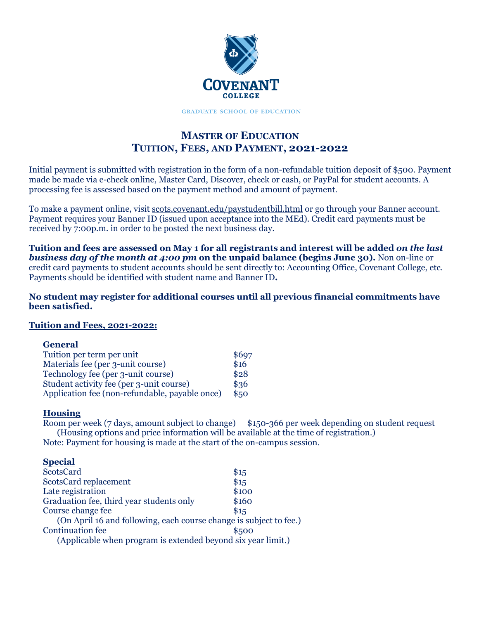

**GRADUATE SCHOOL OF EDUCATION** 

# **MASTER OF EDUCATION TUITION, FEES, AND PAYMENT, 2021-2022**

Initial payment is submitted with registration in the form of a non-refundable tuition deposit of \$500. Payment made be made via e-check online, Master Card, Discover, check or cash, or PayPal for student accounts. A processing fee is assessed based on the payment method and amount of payment.

To make a payment online, visit scots.covenant.edu/paystudentbill.html or go through your Banner account. Payment requires your Banner ID (issued upon acceptance into the MEd). Credit card payments must be received by 7:00p.m. in order to be posted the next business day.

**Tuition and fees are assessed on May 1 for all registrants and interest will be added** *on the last business day of the month at 4:00 pm* **on the unpaid balance (begins June 30).** Non on-line or credit card payments to student accounts should be sent directly to: Accounting Office, Covenant College, etc. Payments should be identified with student name and Banner ID**.**

**No student may register for additional courses until all previous financial commitments have been satisfied.**

## **Tuition and Fees, 2021-2022:**

#### **General**

| Tuition per term per unit                      | \$697 |
|------------------------------------------------|-------|
| Materials fee (per 3-unit course)              | \$16  |
| Technology fee (per 3-unit course)             | \$28  |
| Student activity fee (per 3-unit course)       | \$36  |
| Application fee (non-refundable, payable once) | \$50  |

## **Housing**

Room per week (7 days, amount subject to change) \$150-366 per week depending on student request (Housing options and price information will be available at the time of registration.) Note: Payment for housing is made at the start of the on-campus session.

| __________                                                         |       |
|--------------------------------------------------------------------|-------|
| <b>ScotsCard</b>                                                   | \$15  |
| <b>ScotsCard replacement</b>                                       | \$15  |
| Late registration                                                  | \$100 |
| Graduation fee, third year students only                           | \$160 |
| Course change fee                                                  | \$15  |
| (On April 16 and following, each course change is subject to fee.) |       |
| <b>Continuation fee</b>                                            | \$500 |
| (Applicable when program is extended beyond six year limit.)       |       |